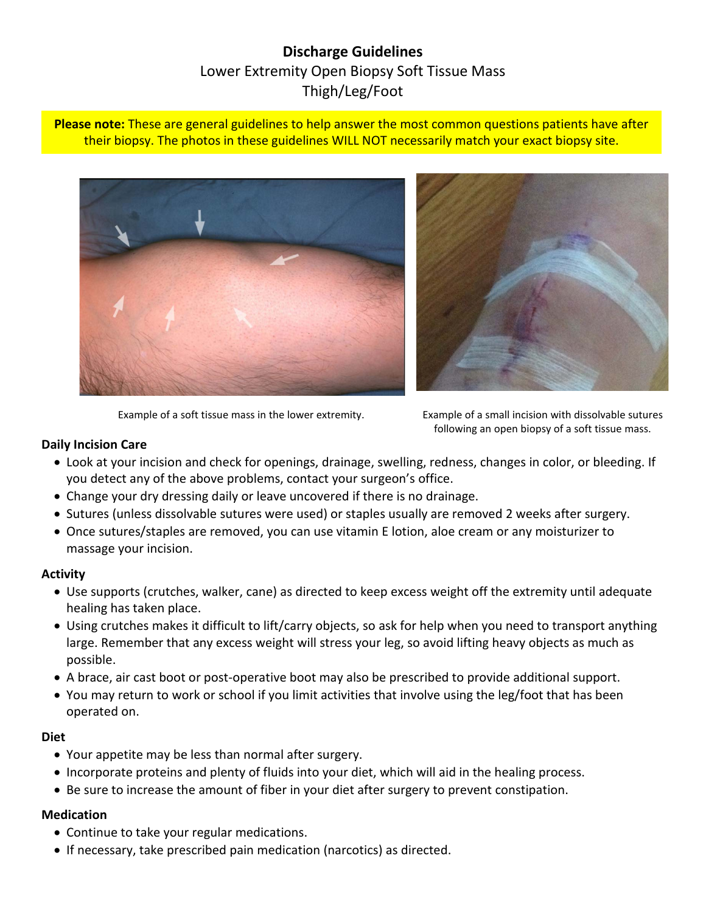# **Discharge Guidelines** Lower Extremity Open Biopsy Soft Tissue Mass Thigh/Leg/Foot

**Please note:** These are general guidelines to help answer the most common questions patients have after their biopsy. The photos in these guidelines WILL NOT necessarily match your exact biopsy site.





Example of a soft tissue mass in the lower extremity. Example of a small incision with dissolvable sutures

following an open biopsy of a soft tissue mass.

#### **Daily Incision Care**

- Look at your incision and check for openings, drainage, swelling, redness, changes in color, or bleeding. If you detect any of the above problems, contact your surgeon's office.
- Change your dry dressing daily or leave uncovered if there is no drainage.
- Sutures (unless dissolvable sutures were used) or staples usually are removed 2 weeks after surgery.
- Once sutures/staples are removed, you can use vitamin E lotion, aloe cream or any moisturizer to massage your incision.

#### **Activity**

- Use supports (crutches, walker, cane) as directed to keep excess weight off the extremity until adequate healing has taken place.
- Using crutches makes it difficult to lift/carry objects, so ask for help when you need to transport anything large. Remember that any excess weight will stress your leg, so avoid lifting heavy objects as much as possible.
- A brace, air cast boot or post-operative boot may also be prescribed to provide additional support.
- You may return to work or school if you limit activities that involve using the leg/foot that has been operated on.

# **Diet**

- Your appetite may be less than normal after surgery.
- Incorporate proteins and plenty of fluids into your diet, which will aid in the healing process.
- Be sure to increase the amount of fiber in your diet after surgery to prevent constipation.

# **Medication**

- Continue to take your regular medications.
- If necessary, take prescribed pain medication (narcotics) as directed.